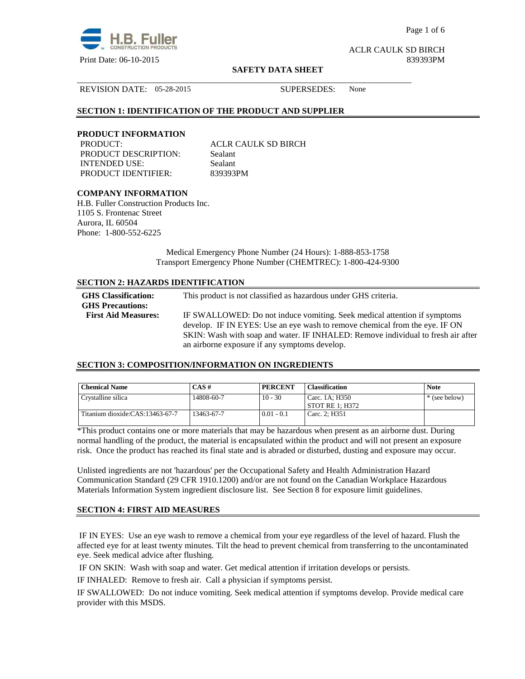

Page 1 of 6

ACLR CAULK SD BIRCH

#### **SAFETY DATA SHEET**

REVISION DATE: 05-28-2015 SUPERSEDES: None

# **SECTION 1: IDENTIFICATION OF THE PRODUCT AND SUPPLIER**

#### **PRODUCT INFORMATION**

PRODUCT: ACLR CAULK SD BIRCH PRODUCT DESCRIPTION: Sealant INTENDED USE: Sealant PRODUCT IDENTIFIER: 839393PM

\_\_\_\_\_\_\_\_\_\_\_\_\_\_\_\_\_\_\_\_\_\_\_\_\_\_\_\_\_\_\_\_\_\_\_\_\_\_\_\_\_\_\_\_\_\_\_\_\_\_\_\_\_\_\_\_\_\_\_\_\_\_\_\_\_\_\_\_\_\_\_\_\_\_\_\_\_\_

# **COMPANY INFORMATION**

H.B. Fuller Construction Products Inc. 1105 S. Frontenac Street Aurora, IL 60504 Phone: 1-800-552-6225

> Medical Emergency Phone Number (24 Hours): 1-888-853-1758 Transport Emergency Phone Number (CHEMTREC): 1-800-424-9300

# **SECTION 2: HAZARDS IDENTIFICATION**

| <b>GHS</b> Classification:<br><b>GHS Precautions:</b> | This product is not classified as hazardous under GHS criteria.                                                                                         |
|-------------------------------------------------------|---------------------------------------------------------------------------------------------------------------------------------------------------------|
| <b>First Aid Measures:</b>                            | IF SWALLOWED: Do not induce vomiting. Seek medical attention if symptoms<br>develop. IF IN EYES: Use an eye wash to remove chemical from the eye. IF ON |
|                                                       | SKIN: Wash with soap and water. IF INHALED: Remove individual to fresh air after<br>an airborne exposure if any symptoms develop.                       |

## **SECTION 3: COMPOSITION/INFORMATION ON INGREDIENTS**

| <b>Chemical Name</b>            | $CAS \#$   | <b>PERCENT</b> | <b>Classification</b>               | <b>Note</b>   |
|---------------------------------|------------|----------------|-------------------------------------|---------------|
| Crystalline silica              | 14808-60-7 | $10 - 30$      | Carc. 1A: H350<br>  STOT RE 1: H372 | * (see below) |
| Titanium dioxide:CAS:13463-67-7 | 13463-67-7 | $0.01 - 0.1$   | Carc. 2: H351                       |               |

\*This product contains one or more materials that may be hazardous when present as an airborne dust. During normal handling of the product, the material is encapsulated within the product and will not present an exposure risk. Once the product has reached its final state and is abraded or disturbed, dusting and exposure may occur.

Unlisted ingredients are not 'hazardous' per the Occupational Safety and Health Administration Hazard Communication Standard (29 CFR 1910.1200) and/or are not found on the Canadian Workplace Hazardous Materials Information System ingredient disclosure list. See Section 8 for exposure limit guidelines.

# **SECTION 4: FIRST AID MEASURES**

 IF IN EYES: Use an eye wash to remove a chemical from your eye regardless of the level of hazard. Flush the affected eye for at least twenty minutes. Tilt the head to prevent chemical from transferring to the uncontaminated eye. Seek medical advice after flushing.

IF ON SKIN: Wash with soap and water. Get medical attention if irritation develops or persists.

IF INHALED: Remove to fresh air. Call a physician if symptoms persist.

IF SWALLOWED:Do not induce vomiting. Seek medical attention if symptoms develop. Provide medical care provider with this MSDS.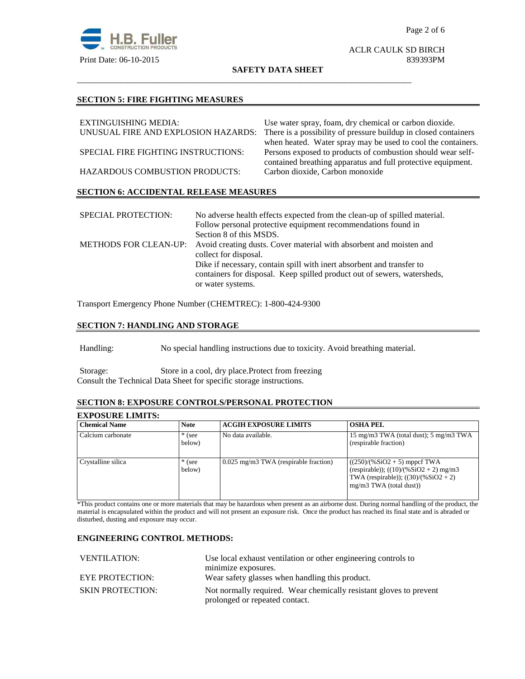

# ACLR CAULK SD BIRCH

#### **SAFETY DATA SHEET**

\_\_\_\_\_\_\_\_\_\_\_\_\_\_\_\_\_\_\_\_\_\_\_\_\_\_\_\_\_\_\_\_\_\_\_\_\_\_\_\_\_\_\_\_\_\_\_\_\_\_\_\_\_\_\_\_\_\_\_\_\_\_\_\_\_\_\_\_\_\_\_\_\_\_\_\_\_\_

# **SECTION 5: FIRE FIGHTING MEASURES**

| EXTINGUISHING MEDIA:                          | Use water spray, foam, dry chemical or carbon dioxide.          |
|-----------------------------------------------|-----------------------------------------------------------------|
| UNUSUAL FIRE AND EXPLOSION HAZARDS:           | There is a possibility of pressure buildup in closed containers |
|                                               | when heated. Water spray may be used to cool the containers.    |
| SPECIAL FIRE FIGHTING INSTRUCTIONS:           | Persons exposed to products of combustion should wear self-     |
|                                               | contained breathing apparatus and full protective equipment.    |
| HAZARDOUS COMBUSTION PRODUCTS:                | Carbon dioxide, Carbon monoxide                                 |
|                                               |                                                                 |
| <b>SECTION 6: ACCIDENTAL RELEASE MEASURES</b> |                                                                 |

| <b>SPECIAL PROTECTION:</b>   | No adverse health effects expected from the clean-up of spilled material. |
|------------------------------|---------------------------------------------------------------------------|
|                              | Follow personal protective equipment recommendations found in             |
|                              | Section 8 of this MSDS.                                                   |
| <b>METHODS FOR CLEAN-UP:</b> | Avoid creating dusts. Cover material with absorbent and moisten and       |
|                              | collect for disposal.                                                     |
|                              | Dike if necessary, contain spill with inert absorbent and transfer to     |
|                              | containers for disposal. Keep spilled product out of sewers, watersheds,  |
|                              | or water systems.                                                         |

Transport Emergency Phone Number (CHEMTREC): 1-800-424-9300

# **SECTION 7: HANDLING AND STORAGE**

Handling: No special handling instructions due to toxicity. Avoid breathing material.

Storage: Store in a cool, dry place.Protect from freezing Consult the Technical Data Sheet for specific storage instructions.

# **SECTION 8: EXPOSURE CONTROLS/PERSONAL PROTECTION**

# **EXPOSURE LIMITS:**

| <b>Chemical Name</b> | <b>Note</b>        | <b>ACGIH EXPOSURE LIMITS</b>            | <b>OSHA PEL</b>                                                                                                                                    |
|----------------------|--------------------|-----------------------------------------|----------------------------------------------------------------------------------------------------------------------------------------------------|
| Calcium carbonate    | $*$ (see<br>below) | No data available.                      | 15 mg/m3 TWA (total dust); $5 \text{ mg/m}$ 3 TWA<br>(respirable fraction)                                                                         |
| Crystalline silica   | $*$ (see<br>below) | $0.025$ mg/m3 TWA (respirable fraction) | $((250)/(%SiO2 + 5)$ mppcf TWA<br>(respirable)); $((10)/(%SiO2 + 2)$ mg/m3<br>TWA (respirable)); $((30)/(%SiO2 + 2))$<br>$mg/m3$ TWA (total dust)) |

\*This product contains one or more materials that may be hazardous when present as an airborne dust. During normal handling of the product, the material is encapsulated within the product and will not present an exposure risk. Once the product has reached its final state and is abraded or disturbed, dusting and exposure may occur.

# **ENGINEERING CONTROL METHODS:**

| <b>VENTILATION:</b>     | Use local exhaust ventilation or other engineering controls to     |  |
|-------------------------|--------------------------------------------------------------------|--|
|                         | minimize exposures.                                                |  |
| <b>EYE PROTECTION:</b>  | Wear safety glasses when handling this product.                    |  |
| <b>SKIN PROTECTION:</b> | Not normally required. Wear chemically resistant gloves to prevent |  |
|                         | prolonged or repeated contact.                                     |  |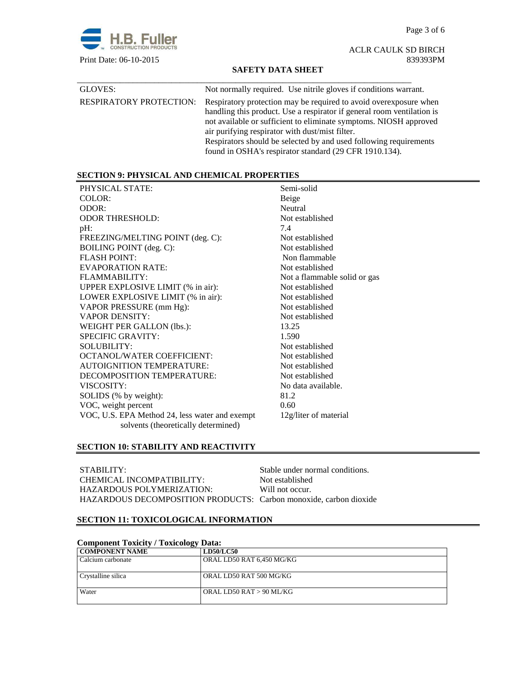Page 3 of 6



ACLR CAULK SD BIRCH

# **SAFETY DATA SHEET**

| GLOVES:                        | Not normally required. Use nitrile gloves if conditions warrant.                                                                                                                                                                                                                                                                                                                                    |
|--------------------------------|-----------------------------------------------------------------------------------------------------------------------------------------------------------------------------------------------------------------------------------------------------------------------------------------------------------------------------------------------------------------------------------------------------|
| <b>RESPIRATORY PROTECTION:</b> | Respiratory protection may be required to avoid over exposure when<br>handling this product. Use a respirator if general room ventilation is<br>not available or sufficient to eliminate symptoms. NIOSH approved<br>air purifying respirator with dust/mist filter.<br>Respirators should be selected by and used following requirements<br>found in OSHA's respirator standard (29 CFR 1910.134). |

# **SECTION 9: PHYSICAL AND CHEMICAL PROPERTIES**

| PHYSICAL STATE:                                | Semi-solid                   |
|------------------------------------------------|------------------------------|
| COLOR:                                         | Beige                        |
| ODOR:                                          | Neutral                      |
| <b>ODOR THRESHOLD:</b>                         | Not established              |
| $pH$ :                                         | 7.4                          |
| FREEZING/MELTING POINT (deg. C):               | Not established              |
| BOILING POINT (deg. C):                        | Not established              |
| <b>FLASH POINT:</b>                            | Non flammable                |
| EVAPORATION RATE:                              | Not established              |
| FLAMMABILITY:                                  | Not a flammable solid or gas |
| UPPER EXPLOSIVE LIMIT (% in air):              | Not established              |
| LOWER EXPLOSIVE LIMIT (% in air):              | Not established              |
| VAPOR PRESSURE (mm Hg):                        | Not established              |
| <b>VAPOR DENSITY:</b>                          | Not established              |
| WEIGHT PER GALLON (lbs.):                      | 13.25                        |
| <b>SPECIFIC GRAVITY:</b>                       | 1.590                        |
| <b>SOLUBILITY:</b>                             | Not established              |
| <b>OCTANOL/WATER COEFFICIENT:</b>              | Not established              |
| <b>AUTOIGNITION TEMPERATURE:</b>               | Not established              |
| DECOMPOSITION TEMPERATURE:                     | Not established              |
| VISCOSITY:                                     | No data available.           |
| SOLIDS (% by weight):                          | 81.2                         |
| VOC, weight percent                            | 0.60                         |
| VOC, U.S. EPA Method 24, less water and exempt | 12g/liter of material        |
| solvents (theoretically determined)            |                              |
|                                                |                              |

# **SECTION 10: STABILITY AND REACTIVITY**

| STABILITY:                                                        | Stable under normal conditions. |
|-------------------------------------------------------------------|---------------------------------|
| CHEMICAL INCOMPATIBILITY:                                         | Not established                 |
| HAZARDOUS POLYMERIZATION:                                         | Will not occur.                 |
| HAZARDOUS DECOMPOSITION PRODUCTS: Carbon monoxide, carbon dioxide |                                 |

# **SECTION 11: TOXICOLOGICAL INFORMATION**

| <b>Component Toxicity / Toxicology Data:</b> |                           |  |
|----------------------------------------------|---------------------------|--|
| <b>COMPONENT NAME</b>                        | <b>LD50/LC50</b>          |  |
| Calcium carbonate                            | ORAL LD50 RAT 6,450 MG/KG |  |
| Crystalline silica                           | ORAL LD50 RAT 500 MG/KG   |  |
| Water                                        | ORAL LD50 RAT > 90 ML/KG  |  |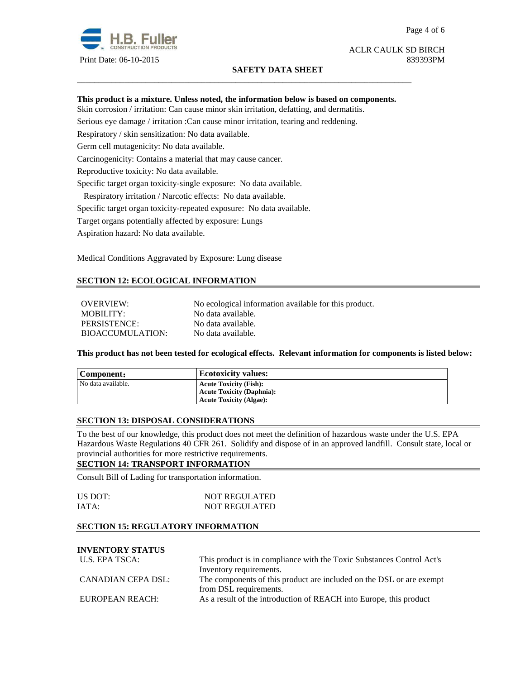

# **SAFETY DATA SHEET**

Page 4 of 6

ACLR CAULK SD BIRCH

# **This product is a mixture. Unless noted, the information below is based on components.**

\_\_\_\_\_\_\_\_\_\_\_\_\_\_\_\_\_\_\_\_\_\_\_\_\_\_\_\_\_\_\_\_\_\_\_\_\_\_\_\_\_\_\_\_\_\_\_\_\_\_\_\_\_\_\_\_\_\_\_\_\_\_\_\_\_\_\_\_\_\_\_\_\_\_\_\_\_\_

Skin corrosion / irritation: Can cause minor skin irritation, defatting, and dermatitis.

Serious eye damage / irritation :Can cause minor irritation, tearing and reddening.

Respiratory / skin sensitization: No data available.

Germ cell mutagenicity: No data available.

Carcinogenicity: Contains a material that may cause cancer.

Reproductive toxicity: No data available.

Specific target organ toxicity-single exposure:No data available.

Respiratory irritation / Narcotic effects: No data available.

Specific target organ toxicity-repeated exposure:No data available.

Target organs potentially affected by exposure: Lungs

Aspiration hazard: No data available.

Medical Conditions Aggravated by Exposure: Lung disease

# **SECTION 12: ECOLOGICAL INFORMATION**

OVERVIEW: No ecological information available for this product. MOBILITY: No data available. PERSISTENCE: No data available. BIOACCUMULATION: No data available.

**This product has not been tested for ecological effects. Relevant information for components is listed below:** 

| Component:         | <b>Ecotoxicity values:</b>       |
|--------------------|----------------------------------|
| No data available. | <b>Acute Toxicity (Fish):</b>    |
|                    | <b>Acute Toxicity (Daphnia):</b> |
|                    | <b>Acute Toxicity (Algae):</b>   |

## **SECTION 13: DISPOSAL CONSIDERATIONS**

To the best of our knowledge, this product does not meet the definition of hazardous waste under the U.S. EPA Hazardous Waste Regulations 40 CFR 261. Solidify and dispose of in an approved landfill. Consult state, local or provincial authorities for more restrictive requirements.

## **SECTION 14: TRANSPORT INFORMATION**

Consult Bill of Lading for transportation information.

| US DOT: | <b>NOT REGULATED</b> |
|---------|----------------------|
| IATA:   | <b>NOT REGULATED</b> |

# **SECTION 15: REGULATORY INFORMATION**

# **INVENTORY STATUS**

| U.S. EPA TSCA:     | This product is in compliance with the Toxic Substances Control Act's |  |
|--------------------|-----------------------------------------------------------------------|--|
|                    | Inventory requirements.                                               |  |
| CANADIAN CEPA DSL: | The components of this product are included on the DSL or are exempt  |  |
|                    | from DSL requirements.                                                |  |
| EUROPEAN REACH:    | As a result of the introduction of REACH into Europe, this product    |  |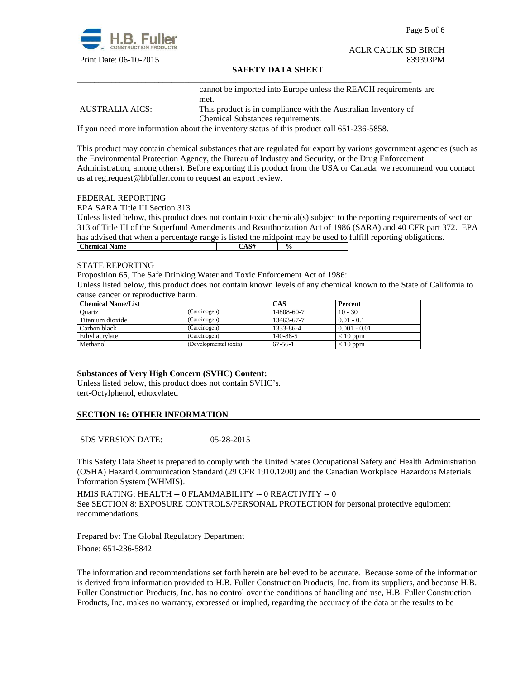

Page 5 of 6

# ACLR CAULK SD BIRCH

## **SAFETY DATA SHEET**

\_\_\_\_\_\_\_\_\_\_\_\_\_\_\_\_\_\_\_\_\_\_\_\_\_\_\_\_\_\_\_\_\_\_\_\_\_\_\_\_\_\_\_\_\_\_\_\_\_\_\_\_\_\_\_\_\_\_\_\_\_\_\_\_\_\_\_\_\_\_\_\_\_\_\_\_\_\_ cannot be imported into Europe unless the REACH requirements are met.

AUSTRALIA AICS: This product is in compliance with the Australian Inventory of Chemical Substances requirements.

If you need more information about the inventory status of this product call 651-236-5858.

This product may contain chemical substances that are regulated for export by various government agencies (such as the Environmental Protection Agency, the Bureau of Industry and Security, or the Drug Enforcement Administration, among others). Before exporting this product from the USA or Canada, we recommend you contact us at reg.request@hbfuller.com to request an export review.

#### FEDERAL REPORTING

EPA SARA Title III Section 313

Unless listed below, this product does not contain toxic chemical(s) subject to the reporting requirements of section 313 of Title III of the Superfund Amendments and Reauthorization Act of 1986 (SARA) and 40 CFR part 372. EPA has advised that when a percentage range is listed the midpoint may be used to fulfill reporting obligations. **Chemical Name**  $\qquad \qquad$   $\qquad \qquad$   $\qquad \qquad$   $\qquad \qquad$   $\qquad \qquad$   $\qquad \qquad$   $\qquad \qquad$   $\qquad \qquad$   $\qquad \qquad$   $\qquad \qquad$   $\qquad \qquad$   $\qquad \qquad$   $\qquad \qquad$   $\qquad \qquad$   $\qquad \qquad$   $\qquad \qquad$   $\qquad \qquad$   $\qquad \qquad$   $\qquad \qquad$   $\qquad \qquad$   $\qquad \qquad$   $\qquad \qquad$   $\qquad \qquad$ 

#### STATE REPORTING

Proposition 65, The Safe Drinking Water and Toxic Enforcement Act of 1986:

Unless listed below, this product does not contain known levels of any chemical known to the State of California to cause cancer or reproductive harm.

| <b>Chemical Name/List</b> |                       | CAS        | Percent        |
|---------------------------|-----------------------|------------|----------------|
| Ouartz                    | (Carcinogen)          | 14808-60-7 | $10 - 30$      |
| Titanium dioxide          | (Carcinogen)          | 13463-67-7 | $0.01 - 0.1$   |
| Carbon black              | (Carcinogen)          | 1333-86-4  | $0.001 - 0.01$ |
| Ethyl acrylate            | (Carcinogen)          | 140-88-5   | $< 10$ ppm     |
| Methanol                  | (Developmental toxin) | $67-56-1$  | $< 10$ ppm     |

# **Substances of Very High Concern (SVHC) Content:**

Unless listed below, this product does not contain SVHC's. tert-Octylphenol, ethoxylated

# **SECTION 16: OTHER INFORMATION**

SDS VERSION DATE: 05-28-2015

This Safety Data Sheet is prepared to comply with the United States Occupational Safety and Health Administration (OSHA) Hazard Communication Standard (29 CFR 1910.1200) and the Canadian Workplace Hazardous Materials Information System (WHMIS).

HMIS RATING: HEALTH -- 0 FLAMMABILITY -- 0 REACTIVITY -- 0 See SECTION 8: EXPOSURE CONTROLS/PERSONAL PROTECTION for personal protective equipment recommendations.

Prepared by: The Global Regulatory Department Phone: 651-236-5842

The information and recommendations set forth herein are believed to be accurate. Because some of the information is derived from information provided to H.B. Fuller Construction Products, Inc. from its suppliers, and because H.B. Fuller Construction Products, Inc. has no control over the conditions of handling and use, H.B. Fuller Construction Products, Inc. makes no warranty, expressed or implied, regarding the accuracy of the data or the results to be